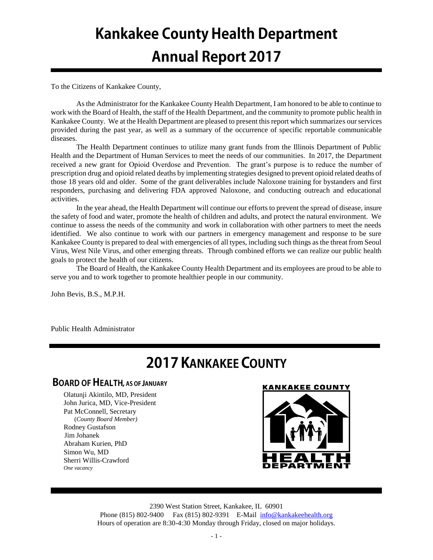# **Kankakee County Health Department Annual Report 2017**

To the Citizens of Kankakee County,

As the Administrator for the Kankakee County Health Department, I am honored to be able to continue to work with the Board of Health, the staff of the Health Department, and the community to promote public health in Kankakee County. We at the Health Department are pleased to present this report which summarizes our services provided during the past year, as well as a summary of the occurrence of specific reportable communicable diseases.

The Health Department continues to utilize many grant funds from the Illinois Department of Public Health and the Department of Human Services to meet the needs of our communities. In 2017, the Department received a new grant for Opioid Overdose and Prevention. The grant's purpose is to reduce the number of prescription drug and opioid related deaths by implementing strategies designed to prevent opioid related deaths of those 18 years old and older. Some of the grant deliverables include Naloxone training for bystanders and first responders, purchasing and delivering FDA approved Naloxone, and conducting outreach and educational activities.

In the year ahead, the Health Department will continue our efforts to prevent the spread of disease, insure the safety of food and water, promote the health of children and adults, and protect the natural environment. We continue to assess the needs of the community and work in collaboration with other partners to meet the needs identified. We also continue to work with our partners in emergency management and response to be sure Kankakee County is prepared to deal with emergencies of all types, including such things as the threat from Seoul Virus, West Nile Virus, and other emerging threats. Through combined efforts we can realize our public health goals to protect the health of our citizens.

The Board of Health, the Kankakee County Health Department and its employees are proud to be able to serve you and to work together to promote healthier people in our community.

John Bevis, B.S., M.P.H.

Public Health Administrator

# **2017 KANKAKEE COUNTY**

# **BOARD OF HEALTH, AS OF JANUARY**

Olatunji Akintilo, MD, President John Jurica, MD, Vice-President Pat McConnell, Secretary (*County Board Member)* Rodney Gustafson Jim Johanek Abraham Kurien, PhD Simon Wu, MD Sherri Willis-Crawford *One vacancy*





2390 West Station Street, Kankakee, IL 60901 Phone (815) 802-9400 Fax (815) 802-9391 E-Mail [info@kankakeehealth.org](mailto:pkankake@idphnet.com) Hours of operation are 8:30-4:30 Monday through Friday, closed on major holidays.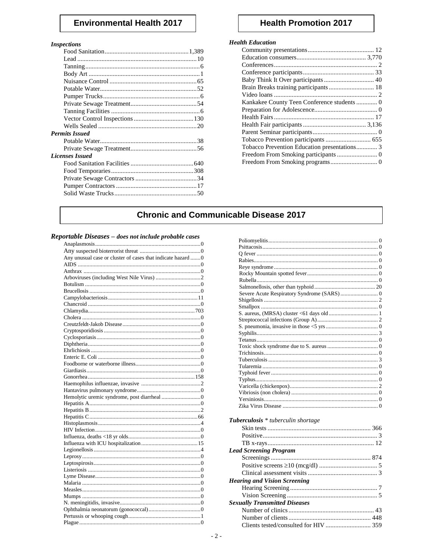# **Environmental Health 2017**

#### **Inspections**

| -------------          |  |
|------------------------|--|
|                        |  |
|                        |  |
|                        |  |
|                        |  |
|                        |  |
|                        |  |
|                        |  |
|                        |  |
|                        |  |
|                        |  |
|                        |  |
| <b>Permits Issued</b>  |  |
|                        |  |
|                        |  |
| <b>Licenses Issued</b> |  |
|                        |  |
|                        |  |
|                        |  |
|                        |  |
|                        |  |
|                        |  |
|                        |  |

## **Health Promotion 2017**

#### **Health Education**

| Brain Breaks training participants  18 |  |
|----------------------------------------|--|
|                                        |  |
|                                        |  |
|                                        |  |
|                                        |  |
|                                        |  |
|                                        |  |
|                                        |  |
|                                        |  |
|                                        |  |
|                                        |  |
|                                        |  |

# **Chronic and Communicable Disease 2017**

#### Reportable Diseases - does not include probable cases

| Any unusual case or cluster of cases that indicate hazard  0 |
|--------------------------------------------------------------|
|                                                              |
|                                                              |
|                                                              |
|                                                              |
|                                                              |
|                                                              |
|                                                              |
|                                                              |
|                                                              |
|                                                              |
|                                                              |
|                                                              |
|                                                              |
|                                                              |
|                                                              |
|                                                              |
|                                                              |
|                                                              |
|                                                              |
|                                                              |
|                                                              |
|                                                              |
|                                                              |
|                                                              |
|                                                              |
|                                                              |
|                                                              |
|                                                              |
|                                                              |
|                                                              |
|                                                              |
|                                                              |
|                                                              |
|                                                              |
|                                                              |
|                                                              |
|                                                              |
|                                                              |
|                                                              |
|                                                              |

| Tuberculosis * tuberculin shortage    |  |
|---------------------------------------|--|
|                                       |  |
|                                       |  |
|                                       |  |
|                                       |  |
| <b>Lead Screening Program</b>         |  |
|                                       |  |
|                                       |  |
|                                       |  |
| <b>Hearing and Vision Screening</b>   |  |
|                                       |  |
|                                       |  |
| <b>Sexually Transmitted Diseases</b>  |  |
|                                       |  |
|                                       |  |
|                                       |  |
| Clients tested/consulted for HIV  359 |  |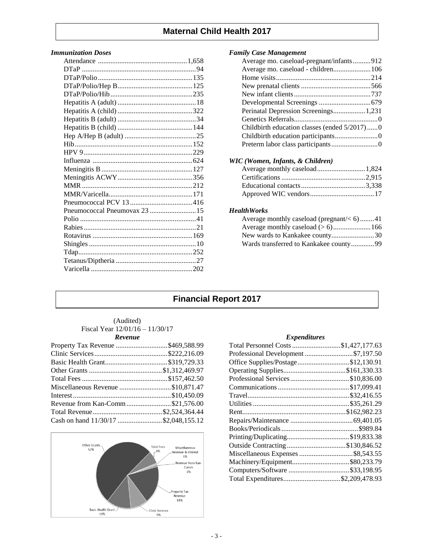# **Maternal Child Health 2017**

#### *Immunization Doses*

#### *Family Case Management*

| Average mo. caseload-pregnant/infants912     |  |
|----------------------------------------------|--|
| Average mo. caseload - children 106          |  |
|                                              |  |
|                                              |  |
|                                              |  |
|                                              |  |
| Perinatal Depression Screenings 1,231        |  |
|                                              |  |
| Childbirth education classes (ended 5/2017)0 |  |
|                                              |  |
|                                              |  |

### *WIC (Women, Infants, & Children)*

#### *HealthWorks*

| Average monthly caseload (pregnant/ $< 6$ )41 |  |
|-----------------------------------------------|--|
|                                               |  |
| New wards to Kankakee county30                |  |
| Wards transferred to Kankakee county99        |  |

# **Financial Report 2017**

| (Audited)                       |
|---------------------------------|
| Fiscal Year 12/01/16 – 11/30/17 |
| <b>Revenue</b>                  |

| Property Tax Revenue \$469,588.99    |  |
|--------------------------------------|--|
|                                      |  |
|                                      |  |
|                                      |  |
|                                      |  |
| Miscellaneous Revenue \$10,871.47    |  |
|                                      |  |
| Revenue from Kan-Comm\$21,576.00     |  |
|                                      |  |
| Cash on hand 11/30/17 \$2,048,155.12 |  |



#### *Expenditures*

| Total Personnel Costs \$1,427,177.63 |  |
|--------------------------------------|--|
| Professional Development\$7,197.50   |  |
| Office Supplies/Postage\$12,130.91   |  |
| Operating Supplies\$161,330.33       |  |
| Professional Services\$10,836.00     |  |
|                                      |  |
|                                      |  |
|                                      |  |
|                                      |  |
|                                      |  |
|                                      |  |
|                                      |  |
| Outside Contracting \$130,846.52     |  |
| Miscellaneous Expenses \$8,543.55    |  |
|                                      |  |
| Computers/Software \$33,198.95       |  |
| Total Expenditures\$2,209,478.93     |  |